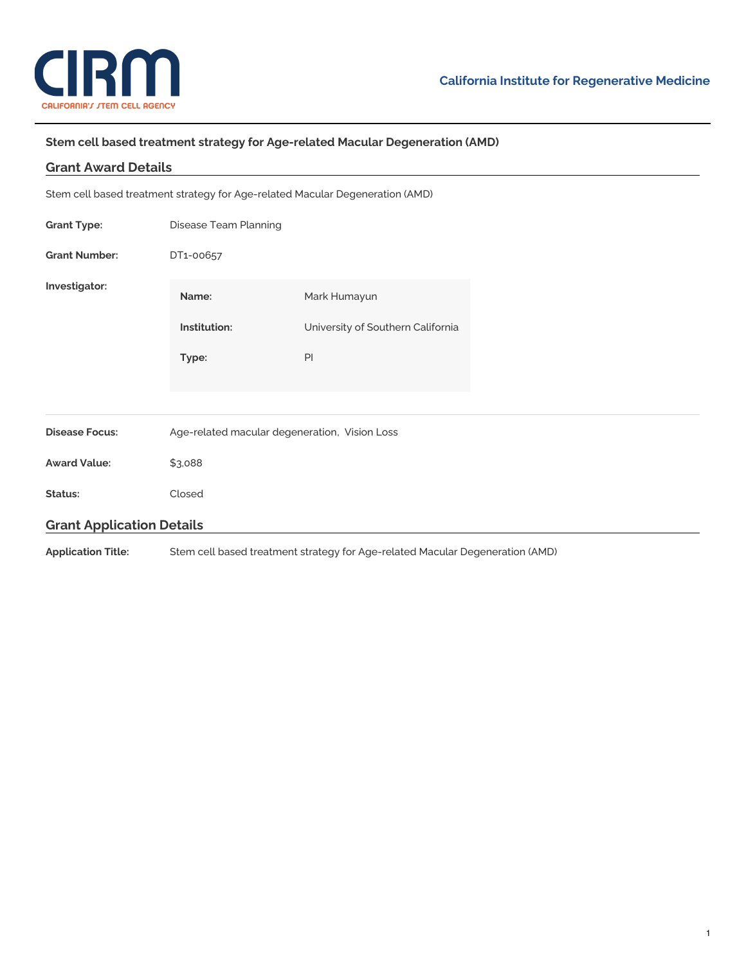

## **Stem cell based treatment strategy for Age-related Macular Degeneration (AMD)**

| <b>Grant Award Details</b>       |                                                                               |                                                                               |  |  |
|----------------------------------|-------------------------------------------------------------------------------|-------------------------------------------------------------------------------|--|--|
|                                  |                                                                               | Stem cell based treatment strategy for Age-related Macular Degeneration (AMD) |  |  |
| <b>Grant Type:</b>               | Disease Team Planning                                                         |                                                                               |  |  |
| <b>Grant Number:</b>             | DT1-00657                                                                     |                                                                               |  |  |
| Investigator:                    | Name:                                                                         | Mark Humayun                                                                  |  |  |
|                                  | Institution:                                                                  | University of Southern California                                             |  |  |
|                                  | Type:                                                                         | PI                                                                            |  |  |
|                                  |                                                                               |                                                                               |  |  |
| <b>Disease Focus:</b>            | Age-related macular degeneration, Vision Loss                                 |                                                                               |  |  |
| <b>Award Value:</b>              | \$3,088                                                                       |                                                                               |  |  |
| Status:                          | Closed                                                                        |                                                                               |  |  |
| <b>Grant Application Details</b> |                                                                               |                                                                               |  |  |
| <b>Application Title:</b>        | Stem cell based treatment strategy for Age-related Macular Degeneration (AMD) |                                                                               |  |  |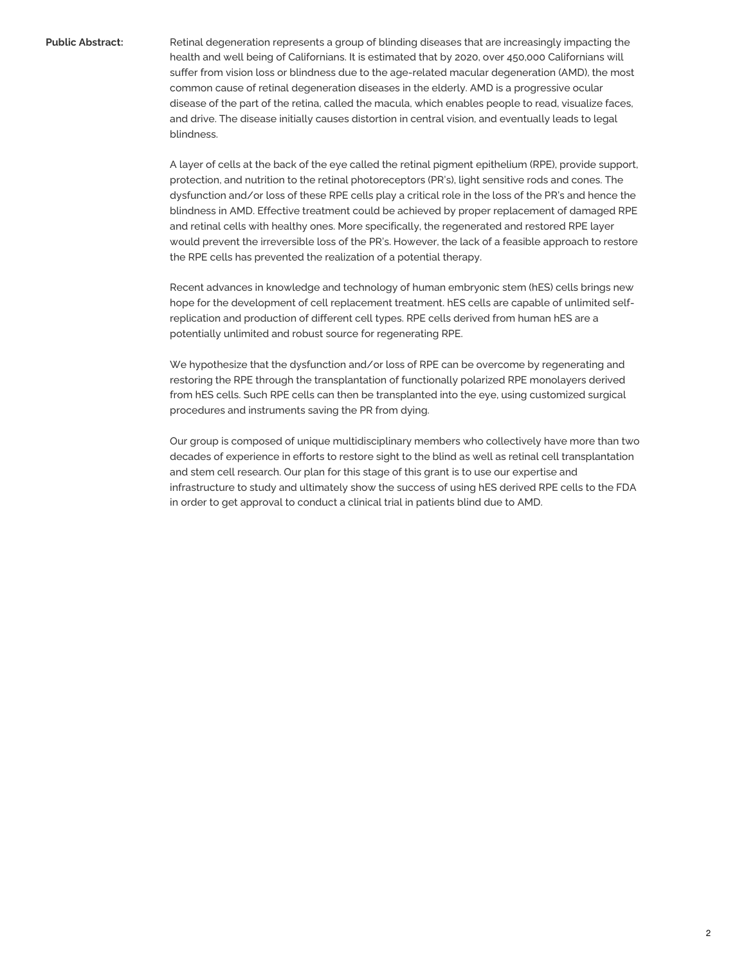**Public Abstract:** Retinal degeneration represents a group of blinding diseases that are increasingly impacting the health and well being of Californians. It is estimated that by 2020, over 450,000 Californians will suffer from vision loss or blindness due to the age-related macular degeneration (AMD), the most common cause of retinal degeneration diseases in the elderly. AMD is a progressive ocular disease of the part of the retina, called the macula, which enables people to read, visualize faces, and drive. The disease initially causes distortion in central vision, and eventually leads to legal blindness.

> A layer of cells at the back of the eye called the retinal pigment epithelium (RPE), provide support, protection, and nutrition to the retinal photoreceptors (PR's), light sensitive rods and cones. The dysfunction and/or loss of these RPE cells play a critical role in the loss of the PR's and hence the blindness in AMD. Effective treatment could be achieved by proper replacement of damaged RPE and retinal cells with healthy ones. More specifically, the regenerated and restored RPE layer would prevent the irreversible loss of the PR's. However, the lack of a feasible approach to restore the RPE cells has prevented the realization of a potential therapy.

> Recent advances in knowledge and technology of human embryonic stem (hES) cells brings new hope for the development of cell replacement treatment. hES cells are capable of unlimited selfreplication and production of different cell types. RPE cells derived from human hES are a potentially unlimited and robust source for regenerating RPE.

We hypothesize that the dysfunction and/or loss of RPE can be overcome by regenerating and restoring the RPE through the transplantation of functionally polarized RPE monolayers derived from hES cells. Such RPE cells can then be transplanted into the eye, using customized surgical procedures and instruments saving the PR from dying.

Our group is composed of unique multidisciplinary members who collectively have more than two decades of experience in efforts to restore sight to the blind as well as retinal cell transplantation and stem cell research. Our plan for this stage of this grant is to use our expertise and infrastructure to study and ultimately show the success of using hES derived RPE cells to the FDA in order to get approval to conduct a clinical trial in patients blind due to AMD.